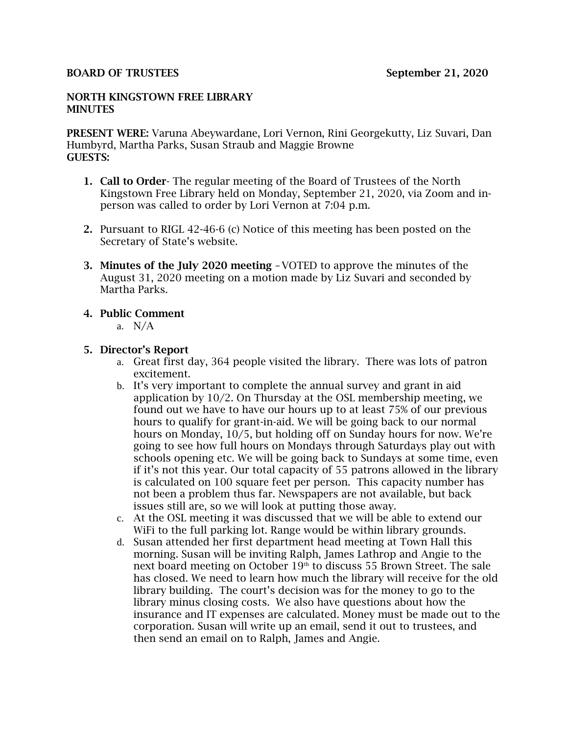#### BOARD OF TRUSTEES September 21, 2020

#### NORTH KINGSTOWN FREE LIBRARY **MINUTES**

PRESENT WERE: Varuna Abeywardane, Lori Vernon, Rini Georgekutty, Liz Suvari, Dan Humbyrd, Martha Parks, Susan Straub and Maggie Browne GUESTS:

- 1. Call to Order- The regular meeting of the Board of Trustees of the North Kingstown Free Library held on Monday, September 21, 2020, via Zoom and inperson was called to order by Lori Vernon at 7:04 p.m.
- 2. Pursuant to RIGL 42-46-6 (c) Notice of this meeting has been posted on the Secretary of State's website.
- 3. Minutes of the July 2020 meeting –VOTED to approve the minutes of the August 31, 2020 meeting on a motion made by Liz Suvari and seconded by Martha Parks.

## 4. Public Comment

a. N/A

### 5. Director's Report

- a. Great first day, 364 people visited the library. There was lots of patron excitement.
- b. It's very important to complete the annual survey and grant in aid application by 10/2. On Thursday at the OSL membership meeting, we found out we have to have our hours up to at least 75% of our previous hours to qualify for grant-in-aid. We will be going back to our normal hours on Monday, 10/5, but holding off on Sunday hours for now. We're going to see how full hours on Mondays through Saturdays play out with schools opening etc. We will be going back to Sundays at some time, even if it's not this year. Our total capacity of 55 patrons allowed in the library is calculated on 100 square feet per person. This capacity number has not been a problem thus far. Newspapers are not available, but back issues still are, so we will look at putting those away.
- c. At the OSL meeting it was discussed that we will be able to extend our WiFi to the full parking lot. Range would be within library grounds.
- d. Susan attended her first department head meeting at Town Hall this morning. Susan will be inviting Ralph, James Lathrop and Angie to the next board meeting on October 19<sup>th</sup> to discuss 55 Brown Street. The sale has closed. We need to learn how much the library will receive for the old library building. The court's decision was for the money to go to the library minus closing costs. We also have questions about how the insurance and IT expenses are calculated. Money must be made out to the corporation. Susan will write up an email, send it out to trustees, and then send an email on to Ralph, James and Angie.